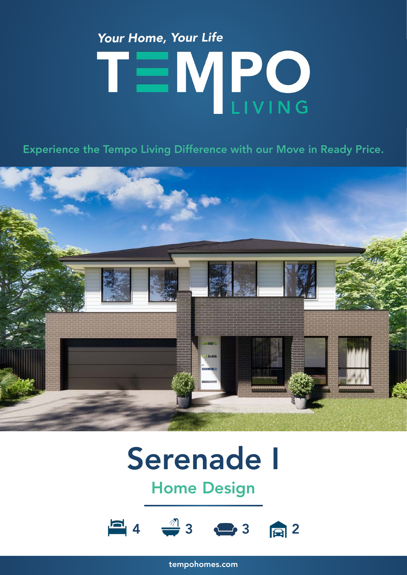# Your Home, Your Life TEMPO

Experience the Tempo Living Difference with our Move in Ready Price.



## Serenade I

### Home Design



tempohomes.com